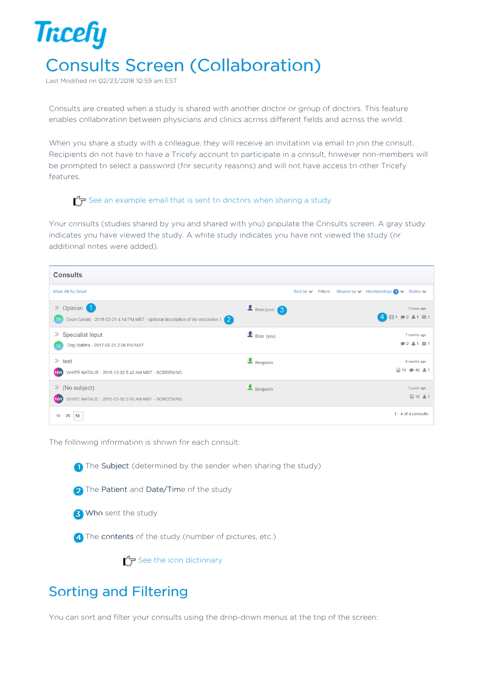## **Tricefy** Consults Screen (Collaboration)

Last Modified on 02/23/2018 10:59 am EST

Consults are created when a study is shared with another doctor or group of doctors. This feature enables collaboration between physicians and clinics across different fields and across the world.

When you share a study with a colleague, they will receive an invitation via email to join the consult. Recipients do not have to have a Tricefy account to participate in a consult, however non-members will be prompted to select a password (for security reasons) and will not have access to other Tricefy features.

## $\sqrt{P}$  See an example email that is sent to doctors when sharing a study

Your consults (studies shared by you and shared with you) populate the Consults screen. A gray study indicates you have viewed the study. A white study indicates you have not viewed the study (or additional notes were added).



The following information is shown for each consult:



2 The Patient and Date/Time of the study

**3** Who sent the study

4) The contents of the study (number of pictures, etc.)

 $\mathcal{F}$  See the icon dictionary

## Sorting and Filtering

You can sort and filter your consults using the drop-down menus at the top of the screen: